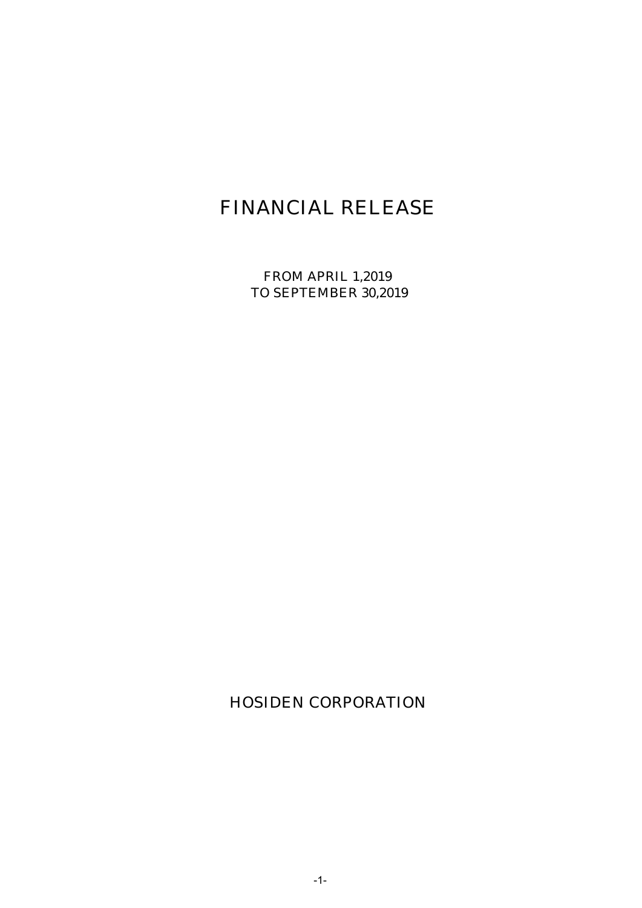# FINANCIAL RELEASE

FROM APRIL 1,2019 TO SEPTEMBER 30,2019

HOSIDEN CORPORATION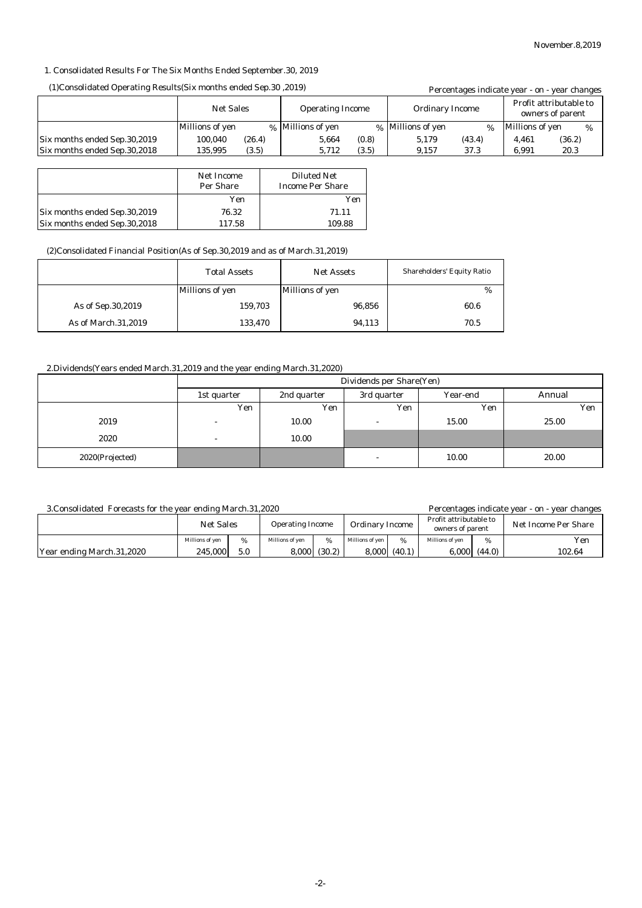#### 1. Consolidated Results For The Six Months Ended September.30, 2019

#### (1)Consolidated Operating Results(Six months ended Sep.30 ,2019)

| (1) Consolidated Operating Results (Six months ended Sep. 30, 2019) |                  |        |                         |       |                        |        |                                            | Percentages indicate year - on - year changes |
|---------------------------------------------------------------------|------------------|--------|-------------------------|-------|------------------------|--------|--------------------------------------------|-----------------------------------------------|
|                                                                     | <b>Net Sales</b> |        | <b>Operating Income</b> |       | <b>Ordinary Income</b> |        | Profit attributable to<br>owners of parent |                                               |
|                                                                     | Millions of yen  |        | % Millions of yen       |       | % Millions of yen      | $\%$   | Millions of yen                            | %                                             |
| Six months ended Sep.30,2019                                        | 100.040          | (26.4) | 5.664                   | (0.8) | 5.179                  | (43.4) | 4.461                                      | (36.2)                                        |
| Six months ended Sep.30,2018                                        | 135.995          | (3.5)  | 5.712                   | (3.5) | 9.157                  | 37.3   | 6.991                                      | 20.3                                          |

|                              | Net Income<br>Per Share | <b>Diluted Net</b><br><b>Income Per Share</b> |
|------------------------------|-------------------------|-----------------------------------------------|
|                              | Yen                     | Yen                                           |
| Six months ended Sep.30,2019 | 76.32                   | 71.11                                         |
| Six months ended Sep.30,2018 | 117.58                  | 109.88                                        |

#### (2)Consolidated Financial Position(As of Sep.30,2019 and as of March.31,2019)

|                     | <b>Total Assets</b> | <b>Net Assets</b> | <b>Shareholders' Equity Ratio</b> |
|---------------------|---------------------|-------------------|-----------------------------------|
|                     | Millions of yen     | Millions of yen   | %                                 |
| As of Sep. 30, 2019 | 159.703             | 96,856            | 60.6                              |
| As of March.31,2019 | 133,470             | 94,113            | 70.5                              |

#### 2.Dividends(Years ended March.31,2019 and the year ending March.31,2020)

|                 | Dividends per Share(Yen) |             |                          |          |        |  |
|-----------------|--------------------------|-------------|--------------------------|----------|--------|--|
|                 | 1st quarter              | 2nd quarter | 3rd quarter              | Year-end | Annual |  |
|                 | Yen                      | Yen         | Yen                      | Yen      | Yen    |  |
| 2019            | $\overline{a}$           | 10.00       |                          | 15.00    | 25.00  |  |
| 2020            | $\overline{a}$           | 10.00       |                          |          |        |  |
| 2020(Projected) |                          |             | $\overline{\phantom{a}}$ | 10.00    | 20.00  |  |

#### 3.Consolidated Forecasts for the year ending March.31,2020

Percentages indicate year - on - year changes

|                           | <b>Net Sales</b> |               | <b>Operating Income</b> |        | <b>Ordinary Income</b> |        | Profit attributable to<br>owners of parent |        | Net Income Per Share |  |
|---------------------------|------------------|---------------|-------------------------|--------|------------------------|--------|--------------------------------------------|--------|----------------------|--|
|                           | Millions of ven  | $\frac{0}{6}$ | Millions of ven         | %      | Millions of ven        | %      | Millions of ven                            | %      | Yen                  |  |
| Year ending March.31,2020 | 245.000          | 5.0           | 8,000                   | (30.2) | 8,000                  | (40.1) | 0.000                                      | (44.0) | 102.64               |  |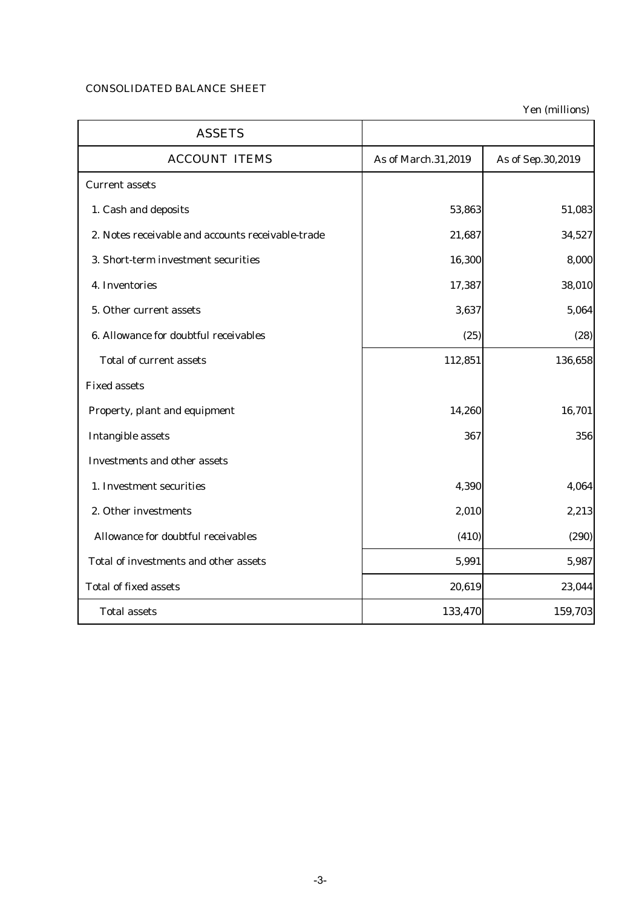## CONSOLIDATED BALANCE SHEET

Yen (millions)

| <b>ASSETS</b>                                     |                     |                   |
|---------------------------------------------------|---------------------|-------------------|
| <b>ACCOUNT ITEMS</b>                              | As of March.31,2019 | As of Sep.30,2019 |
| <b>Current assets</b>                             |                     |                   |
| 1. Cash and deposits                              | 53,863              | 51,083            |
| 2. Notes receivable and accounts receivable-trade | 21,687              | 34,527            |
| 3. Short-term investment securities               | 16,300              | 8,000             |
| 4. Inventories                                    | 17,387              | 38,010            |
| 5. Other current assets                           | 3,637               | 5,064             |
| 6. Allowance for doubtful receivables             | (25)                | (28)              |
| <b>Total of current assets</b>                    | 112,851             | 136,658           |
| <b>Fixed assets</b>                               |                     |                   |
| Property, plant and equipment                     | 14,260              | 16,701            |
| <b>Intangible assets</b>                          | 367                 | 356               |
| <b>Investments and other assets</b>               |                     |                   |
| 1. Investment securities                          | 4,390               | 4,064             |
| 2. Other investments                              | 2,010               | 2,213             |
| Allowance for doubtful receivables                | (410)               | (290)             |
| Total of investments and other assets             | 5,991               | 5,987             |
| <b>Total of fixed assets</b>                      | 20,619              | 23,044            |
| <b>Total assets</b>                               | 133,470             | 159,703           |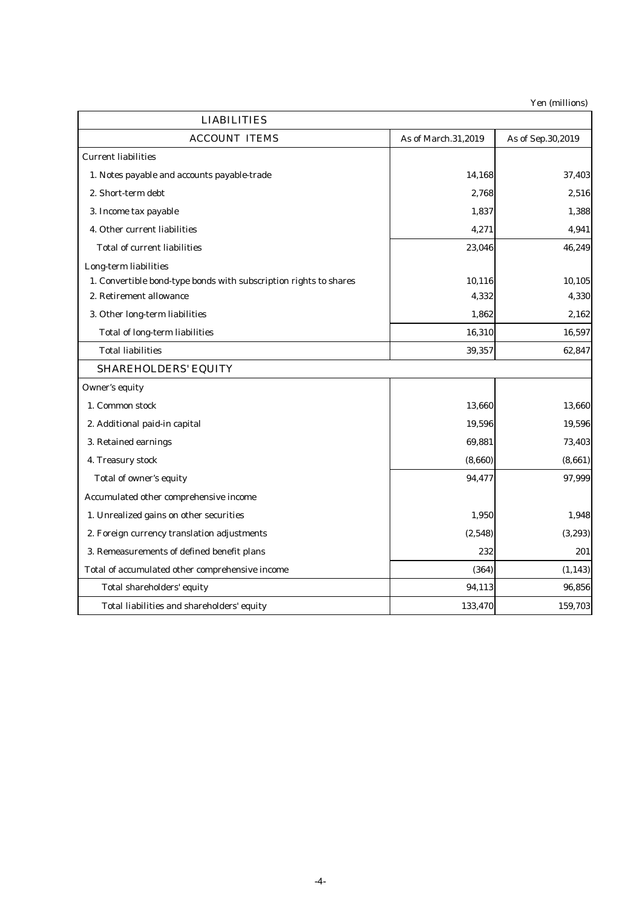Yen (millions)

| <b>LIABILITIES</b>                                                |                     |                   |
|-------------------------------------------------------------------|---------------------|-------------------|
| <b>ACCOUNT ITEMS</b>                                              | As of March.31,2019 | As of Sep.30,2019 |
| <b>Current liabilities</b>                                        |                     |                   |
| 1. Notes payable and accounts payable-trade                       | 14,168              | 37,403            |
| 2. Short-term debt                                                | 2,768               | 2,516             |
| 3. Income tax payable                                             | 1,837               | 1,388             |
| 4. Other current liabilities                                      | 4,271               | 4,941             |
| <b>Total of current liabilities</b>                               | 23,046              | 46,249            |
| Long-term liabilities                                             |                     |                   |
| 1. Convertible bond-type bonds with subscription rights to shares | 10,116              | 10,105            |
| 2. Retirement allowance                                           | 4,332               | 4,330             |
| 3. Other long-term liabilities                                    | 1,862               | 2,162             |
| <b>Total of long-term liabilities</b>                             | 16,310              | 16,597            |
| <b>Total liabilities</b>                                          | 39,357              | 62,847            |
| <b>SHAREHOLDERS' EQUITY</b>                                       |                     |                   |
| Owner's equity                                                    |                     |                   |
| 1. Common stock                                                   | 13,660              | 13,660            |
| 2. Additional paid-in capital                                     | 19,596              | 19,596            |
| 3. Retained earnings                                              | 69,881              | 73,403            |
| 4. Treasury stock                                                 | (8,660)             | (8,661)           |
| Total of owner's equity                                           | 94,477              | 97,999            |
| Accumulated other comprehensive income                            |                     |                   |
| 1. Unrealized gains on other securities                           | 1,950               | 1,948             |
| 2. Foreign currency translation adjustments                       | (2,548)             | (3,293)           |
| 3. Remeasurements of defined benefit plans                        | 232                 | 201               |
| Total of accumulated other comprehensive income                   | (364)               | (1, 143)          |
| Total shareholders' equity                                        | 94,113              | 96,856            |
| Total liabilities and shareholders' equity                        | 133,470             | 159,703           |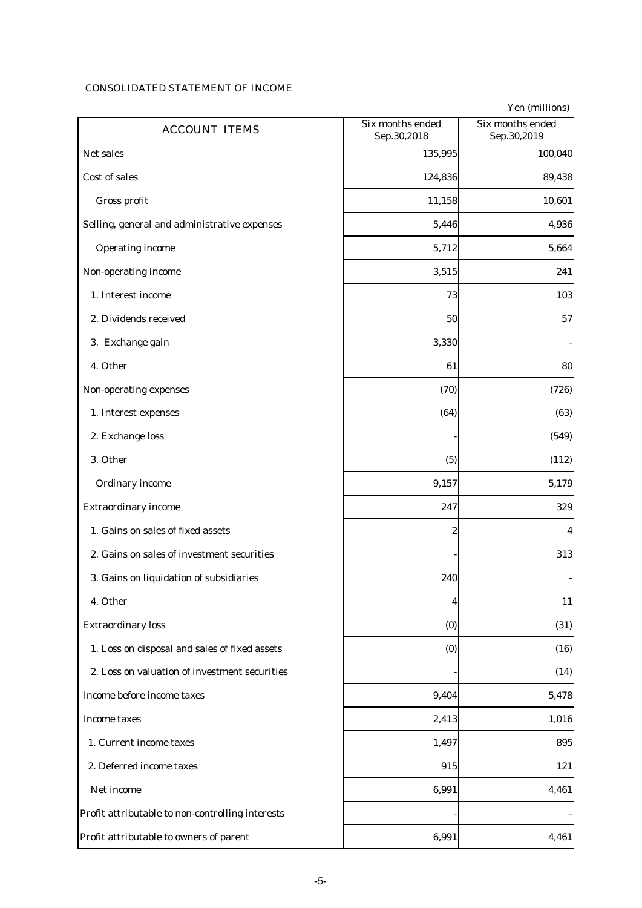# CONSOLIDATED STATEMENT OF INCOME

| <b>ACCOUNT ITEMS</b>                             | Six months ended<br>Sep.30,2018 | Yen (millions)<br>Six months ended<br>Sep.30,2019 |
|--------------------------------------------------|---------------------------------|---------------------------------------------------|
| Net sales                                        | 135,995                         | 100,040                                           |
| Cost of sales                                    | 124,836                         | 89,438                                            |
| Gross profit                                     | 11,158                          | 10,601                                            |
| Selling, general and administrative expenses     | 5,446                           | 4,936                                             |
| <b>Operating income</b>                          | 5,712                           | 5,664                                             |
| Non-operating income                             | 3,515                           | 241                                               |
| 1. Interest income                               | 73                              | 103                                               |
| 2. Dividends received                            | 50                              | 57                                                |
| 3. Exchange gain                                 | 3,330                           |                                                   |
| 4. Other                                         | 61                              | 80                                                |
| Non-operating expenses                           | (70)                            | (726)                                             |
| 1. Interest expenses                             | (64)                            | (63)                                              |
| 2. Exchange loss                                 |                                 | (549)                                             |
| 3. Other                                         | (5)                             | (112)                                             |
| Ordinary income                                  | 9,157                           | 5,179                                             |
| <b>Extraordinary income</b>                      | 247                             | 329                                               |
| 1. Gains on sales of fixed assets                | 2                               | 4                                                 |
| 2. Gains on sales of investment securities       |                                 | 313                                               |
| 3. Gains on liquidation of subsidiaries          | 240                             |                                                   |
| 4. Other                                         | 4                               | 11                                                |
| <b>Extraordinary loss</b>                        | (0)                             | (31)                                              |
| 1. Loss on disposal and sales of fixed assets    | (0)                             | (16)                                              |
| 2. Loss on valuation of investment securities    |                                 | (14)                                              |
| Income before income taxes                       | 9,404                           | 5,478                                             |
| <b>Income taxes</b>                              | 2,413                           | 1,016                                             |
| 1. Current income taxes                          | 1,497                           | 895                                               |
| 2. Deferred income taxes                         | 915                             | 121                                               |
| Net income                                       | 6,991                           | 4,461                                             |
| Profit attributable to non-controlling interests |                                 |                                                   |
| Profit attributable to owners of parent          | 6,991                           | 4,461                                             |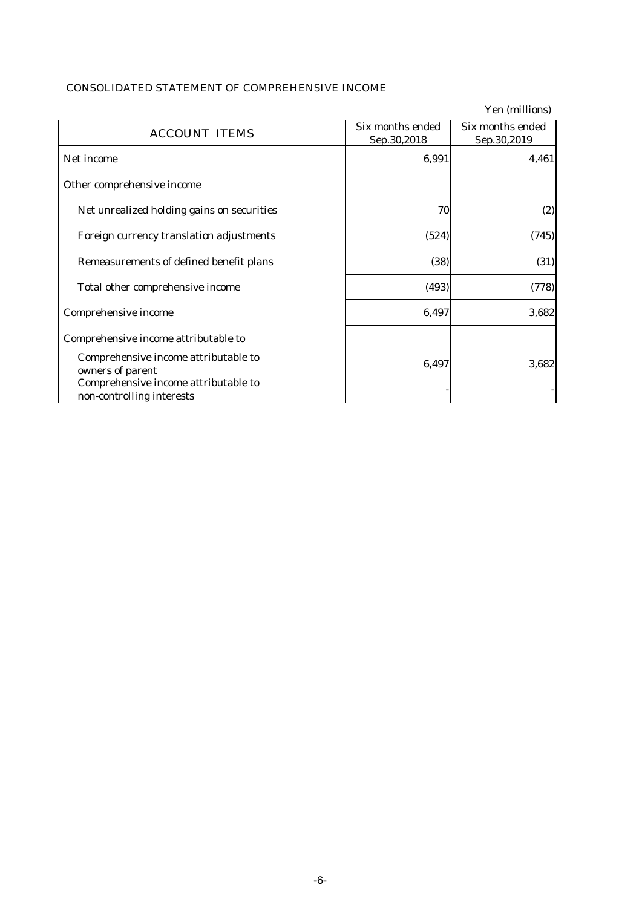# CONSOLIDATED STATEMENT OF COMPREHENSIVE INCOME

|                                                                                                                               |                                 | Yen (millions)                  |
|-------------------------------------------------------------------------------------------------------------------------------|---------------------------------|---------------------------------|
| <b>ACCOUNT ITEMS</b>                                                                                                          | Six months ended<br>Sep.30,2018 | Six months ended<br>Sep.30,2019 |
| Net income                                                                                                                    | 6,991                           | 4,461                           |
| Other comprehensive income                                                                                                    |                                 |                                 |
| Net unrealized holding gains on securities                                                                                    | 70                              | (2)                             |
| Foreign currency translation adjustments                                                                                      | (524)                           | (745)                           |
| Remeasurements of defined benefit plans                                                                                       | (38)                            | (31)                            |
| Total other comprehensive income                                                                                              | (493)                           | (778)                           |
| Comprehensive income                                                                                                          | 6,497                           | 3,682                           |
| Comprehensive income attributable to                                                                                          |                                 |                                 |
| Comprehensive income attributable to<br>owners of parent<br>Comprehensive income attributable to<br>non-controlling interests | 6,497                           | 3,682                           |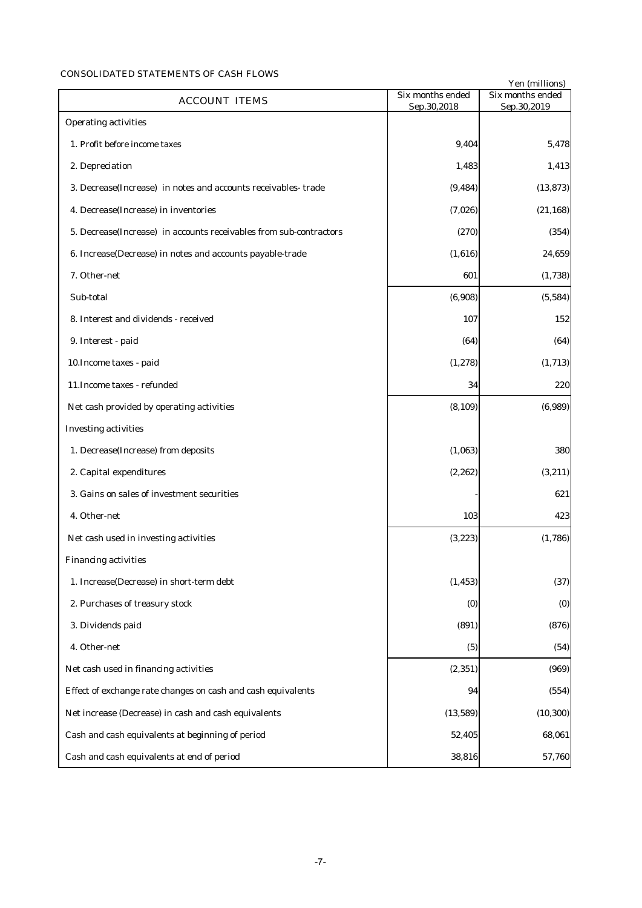### CONSOLIDATED STATEMENTS OF CASH FLOWS

|                                                                     |                                 | Yen (millions)                  |
|---------------------------------------------------------------------|---------------------------------|---------------------------------|
| <b>ACCOUNT ITEMS</b>                                                | Six months ended<br>Sep.30,2018 | Six months ended<br>Sep.30,2019 |
| <b>Operating activities</b>                                         |                                 |                                 |
| 1. Profit before income taxes                                       | 9,404                           | 5,478                           |
| 2. Depreciation                                                     | 1,483                           | 1,413                           |
| 3. Decrease(Increase) in notes and accounts receivables-trade       | (9, 484)                        | (13, 873)                       |
| 4. Decrease(Increase) in inventories                                | (7,026)                         | (21, 168)                       |
| 5. Decrease (Increase) in accounts receivables from sub-contractors | (270)                           | (354)                           |
| 6. Increase(Decrease) in notes and accounts payable-trade           | (1,616)                         | 24,659                          |
| 7. Other-net                                                        | 601                             | (1,738)                         |
| Sub-total                                                           | (6,908)                         | (5,584)                         |
| 8. Interest and dividends - received                                | 107                             | 152                             |
| 9. Interest - paid                                                  | (64)                            | (64)                            |
| 10. Income taxes - paid                                             | (1, 278)                        | (1,713)                         |
| 11. Income taxes - refunded                                         | 34                              | 220                             |
| Net cash provided by operating activities                           | (8, 109)                        | (6,989)                         |
| <b>Investing activities</b>                                         |                                 |                                 |
| 1. Decrease(Increase) from deposits                                 | (1,063)                         | 380                             |
| 2. Capital expenditures                                             | (2, 262)                        | (3, 211)                        |
| 3. Gains on sales of investment securities                          |                                 | 621                             |
| 4. Other-net                                                        | 103                             | 423                             |
| Net cash used in investing activities                               | (3, 223)                        | (1,786)                         |
| <b>Financing activities</b>                                         |                                 |                                 |
| 1. Increase(Decrease) in short-term debt                            | (1, 453)                        | (37)                            |
| 2. Purchases of treasury stock                                      | (0)                             | (0)                             |
| 3. Dividends paid                                                   | (891)                           | (876)                           |
| 4. Other-net                                                        | (5)                             | (54)                            |
| Net cash used in financing activities                               | (2, 351)                        | (969)                           |
| Effect of exchange rate changes on cash and cash equivalents        | 94                              | (554)                           |
| Net increase (Decrease) in cash and cash equivalents                | (13, 589)                       | (10, 300)                       |
| Cash and cash equivalents at beginning of period                    | 52,405                          | 68,061                          |
| Cash and cash equivalents at end of period                          | 38,816                          | 57,760                          |